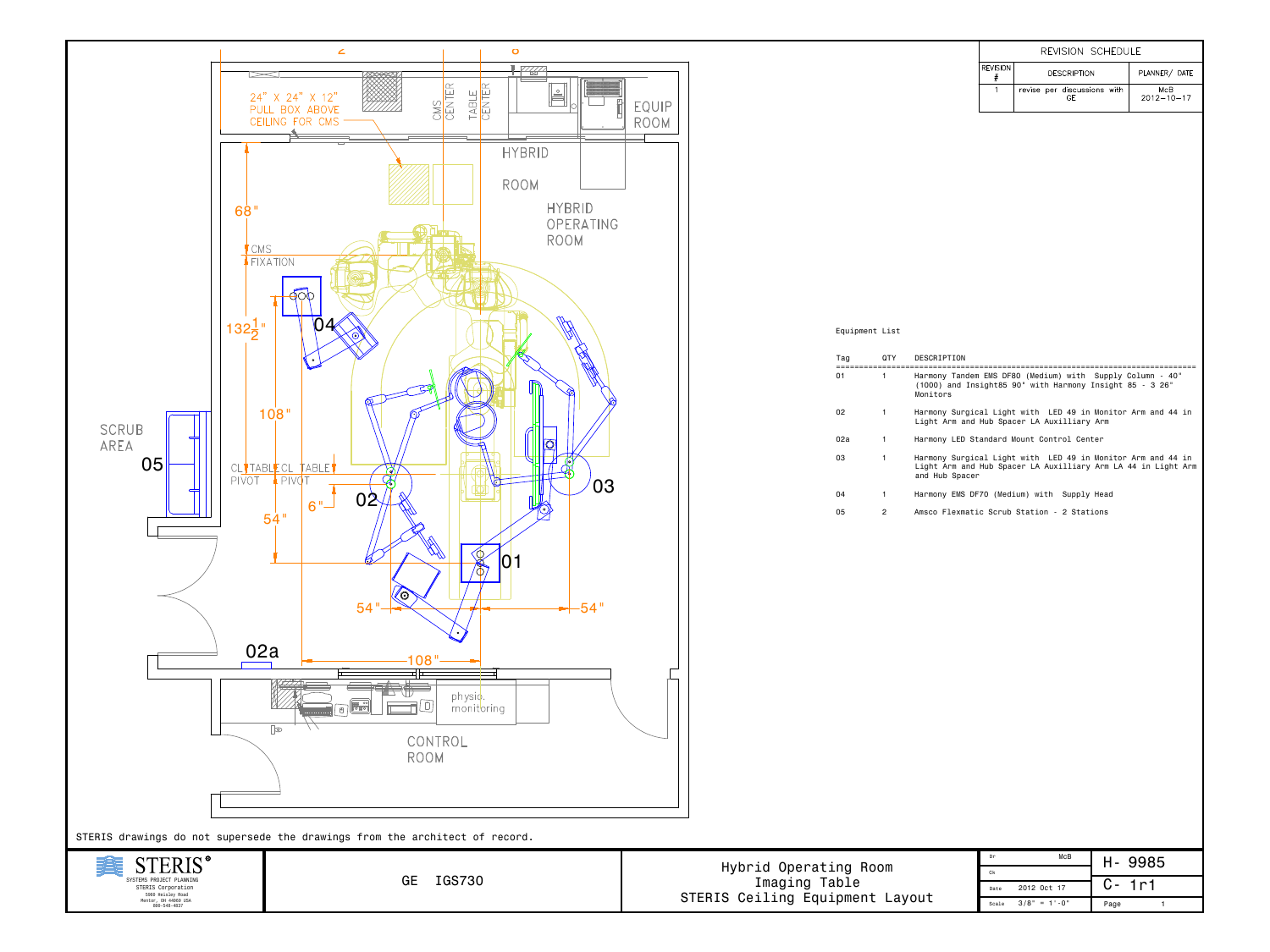|     |                |                                | REVISION SCHEDULE          |                                   |                                                                                                                                                                                                                                                                                                                                                                                                                                                                                                             |  |  |  |
|-----|----------------|--------------------------------|----------------------------|-----------------------------------|-------------------------------------------------------------------------------------------------------------------------------------------------------------------------------------------------------------------------------------------------------------------------------------------------------------------------------------------------------------------------------------------------------------------------------------------------------------------------------------------------------------|--|--|--|
|     |                |                                | <b>REVISION</b><br>$^{\#}$ | <b>DESCRIPTION</b>                | PLANNER/ DATE                                                                                                                                                                                                                                                                                                                                                                                                                                                                                               |  |  |  |
|     |                |                                | $\mathbf{1}$               | revise per discussions with<br>GE | McB<br>$2012 - 10 - 17$                                                                                                                                                                                                                                                                                                                                                                                                                                                                                     |  |  |  |
|     |                |                                |                            |                                   |                                                                                                                                                                                                                                                                                                                                                                                                                                                                                                             |  |  |  |
|     |                |                                |                            |                                   |                                                                                                                                                                                                                                                                                                                                                                                                                                                                                                             |  |  |  |
|     |                |                                |                            |                                   |                                                                                                                                                                                                                                                                                                                                                                                                                                                                                                             |  |  |  |
|     |                |                                |                            |                                   |                                                                                                                                                                                                                                                                                                                                                                                                                                                                                                             |  |  |  |
|     |                |                                |                            |                                   |                                                                                                                                                                                                                                                                                                                                                                                                                                                                                                             |  |  |  |
|     |                |                                |                            |                                   |                                                                                                                                                                                                                                                                                                                                                                                                                                                                                                             |  |  |  |
|     |                |                                |                            |                                   |                                                                                                                                                                                                                                                                                                                                                                                                                                                                                                             |  |  |  |
|     |                |                                |                            |                                   |                                                                                                                                                                                                                                                                                                                                                                                                                                                                                                             |  |  |  |
|     |                |                                |                            |                                   |                                                                                                                                                                                                                                                                                                                                                                                                                                                                                                             |  |  |  |
|     |                |                                |                            |                                   |                                                                                                                                                                                                                                                                                                                                                                                                                                                                                                             |  |  |  |
|     |                |                                |                            |                                   |                                                                                                                                                                                                                                                                                                                                                                                                                                                                                                             |  |  |  |
| Tag | QTY            | DESCRIPTION                    |                            |                                   |                                                                                                                                                                                                                                                                                                                                                                                                                                                                                                             |  |  |  |
|     |                | Monitors                       |                            |                                   |                                                                                                                                                                                                                                                                                                                                                                                                                                                                                                             |  |  |  |
| 02  | $\mathbf{1}$   |                                |                            |                                   |                                                                                                                                                                                                                                                                                                                                                                                                                                                                                                             |  |  |  |
| 02a | $\mathbf{1}$   |                                |                            |                                   |                                                                                                                                                                                                                                                                                                                                                                                                                                                                                                             |  |  |  |
| 03  | $\mathbf{1}$   |                                |                            |                                   |                                                                                                                                                                                                                                                                                                                                                                                                                                                                                                             |  |  |  |
| 04  | $\mathbf{1}$   |                                |                            |                                   |                                                                                                                                                                                                                                                                                                                                                                                                                                                                                                             |  |  |  |
| 05  | $\overline{2}$ |                                |                            |                                   |                                                                                                                                                                                                                                                                                                                                                                                                                                                                                                             |  |  |  |
|     |                |                                |                            |                                   |                                                                                                                                                                                                                                                                                                                                                                                                                                                                                                             |  |  |  |
|     |                |                                |                            |                                   |                                                                                                                                                                                                                                                                                                                                                                                                                                                                                                             |  |  |  |
|     |                |                                |                            |                                   |                                                                                                                                                                                                                                                                                                                                                                                                                                                                                                             |  |  |  |
|     |                |                                |                            |                                   |                                                                                                                                                                                                                                                                                                                                                                                                                                                                                                             |  |  |  |
|     |                |                                |                            |                                   |                                                                                                                                                                                                                                                                                                                                                                                                                                                                                                             |  |  |  |
|     |                |                                |                            |                                   |                                                                                                                                                                                                                                                                                                                                                                                                                                                                                                             |  |  |  |
|     |                |                                |                            |                                   |                                                                                                                                                                                                                                                                                                                                                                                                                                                                                                             |  |  |  |
|     |                |                                |                            |                                   |                                                                                                                                                                                                                                                                                                                                                                                                                                                                                                             |  |  |  |
|     | 01             | Equipment List<br>$\mathbf{1}$ |                            | and Hub Spacer                    | Harmony Tandem EMS DF80 (Medium) with Supply Column - 40"<br>(1000) and Insight85 90" with Harmony Insight 85 - 3 26"<br>Harmony Surgical Light with LED 49 in Monitor Arm and 44 in<br>Light Arm and Hub Spacer LA Auxilliary Arm<br>Harmony LED Standard Mount Control Center<br>Harmony Surgical Light with LED 49 in Monitor Arm and 44 in<br>Light Arm and Hub Spacer LA Auxilliary Arm LA 44 in Light Arm<br>Harmony EMS DF70 (Medium) with Supply Head<br>Amsco Flexmatic Scrub Station - 2 Stations |  |  |  |



|                                 | Dr    | McB             |      | H-9985    |  |
|---------------------------------|-------|-----------------|------|-----------|--|
| Hybrid Operating Room           | Ck    |                 |      |           |  |
| Imaging Table                   | Date  | 2012 Oct 17     |      | $C - 1r1$ |  |
| STERIS Ceiling Equipment Layout | Scale | $3/8$ " = 1'-0" | Page |           |  |